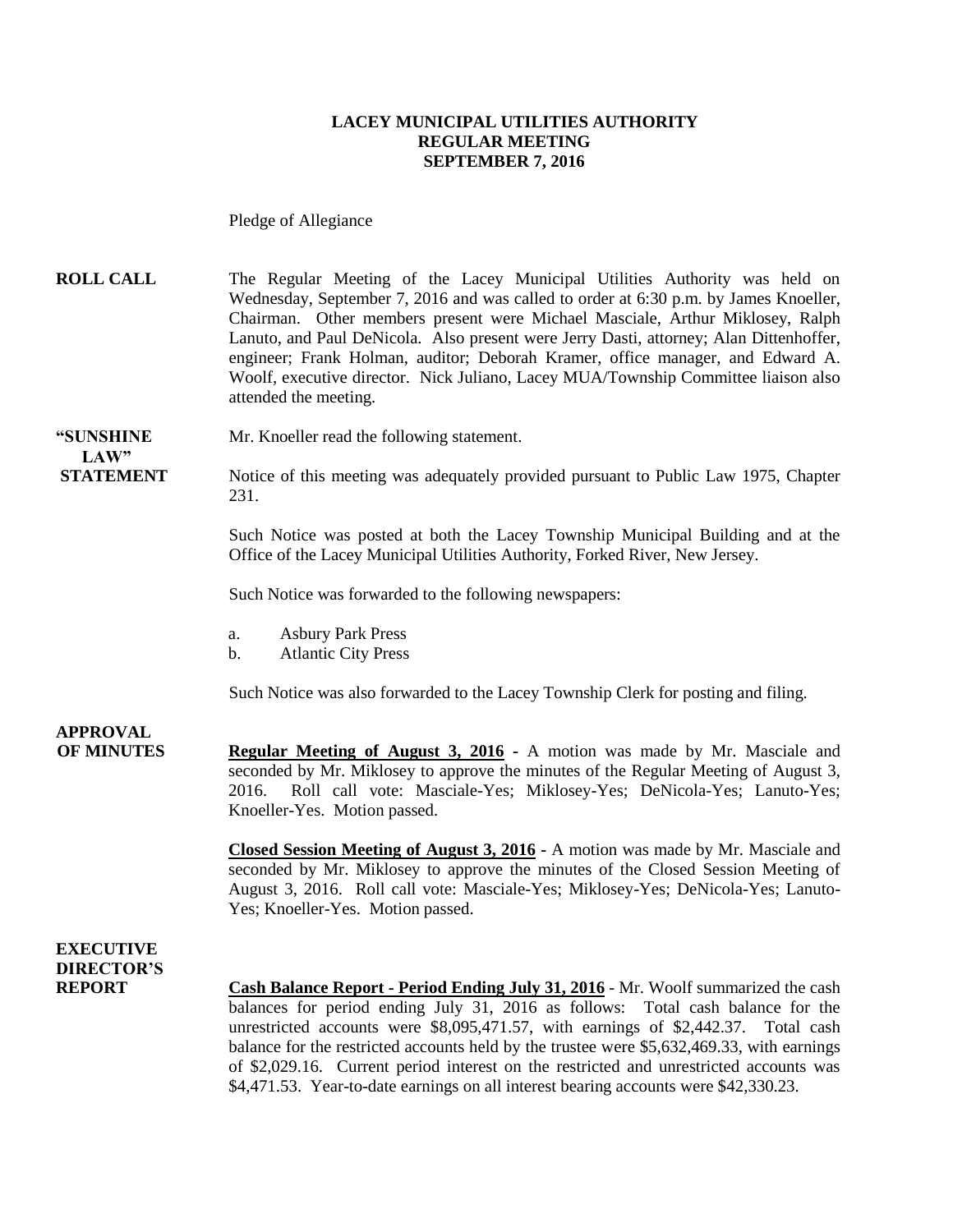### **LACEY MUNICIPAL UTILITIES AUTHORITY REGULAR MEETING SEPTEMBER 7, 2016**

Pledge of Allegiance

**ROLL CALL** The Regular Meeting of the Lacey Municipal Utilities Authority was held on Wednesday, September 7, 2016 and was called to order at 6:30 p.m. by James Knoeller, Chairman. Other members present were Michael Masciale, Arthur Miklosey, Ralph Lanuto, and Paul DeNicola. Also present were Jerry Dasti, attorney; Alan Dittenhoffer, engineer; Frank Holman, auditor; Deborah Kramer, office manager, and Edward A. Woolf, executive director. Nick Juliano, Lacey MUA/Township Committee liaison also attended the meeting.

**LAW"** 

**"SUNSHINE** Mr. Knoeller read the following statement.

**STATEMENT** Notice of this meeting was adequately provided pursuant to Public Law 1975, Chapter 231.

> Such Notice was posted at both the Lacey Township Municipal Building and at the Office of the Lacey Municipal Utilities Authority, Forked River, New Jersey.

Such Notice was forwarded to the following newspapers:

- a. Asbury Park Press
- b. Atlantic City Press

Such Notice was also forwarded to the Lacey Township Clerk for posting and filing.

**APPROVAL**

**OF MINUTES Regular Meeting of August 3, 2016 -** A motion was made by Mr. Masciale and seconded by Mr. Miklosey to approve the minutes of the Regular Meeting of August 3, 2016. Roll call vote: Masciale-Yes; Miklosey-Yes; DeNicola-Yes; Lanuto-Yes; Knoeller-Yes. Motion passed.

> **Closed Session Meeting of August 3, 2016 -** A motion was made by Mr. Masciale and seconded by Mr. Miklosey to approve the minutes of the Closed Session Meeting of August 3, 2016. Roll call vote: Masciale-Yes; Miklosey-Yes; DeNicola-Yes; Lanuto-Yes; Knoeller-Yes. Motion passed.

**EXECUTIVE DIRECTOR'S**

**REPORT Cash Balance Report - Period Ending July 31, 2016** - Mr. Woolf summarized the cash balances for period ending July 31, 2016 as follows: Total cash balance for the unrestricted accounts were \$8,095,471.57, with earnings of \$2,442.37. Total cash balance for the restricted accounts held by the trustee were \$5,632,469.33, with earnings of \$2,029.16. Current period interest on the restricted and unrestricted accounts was \$4,471.53. Year-to-date earnings on all interest bearing accounts were \$42,330.23.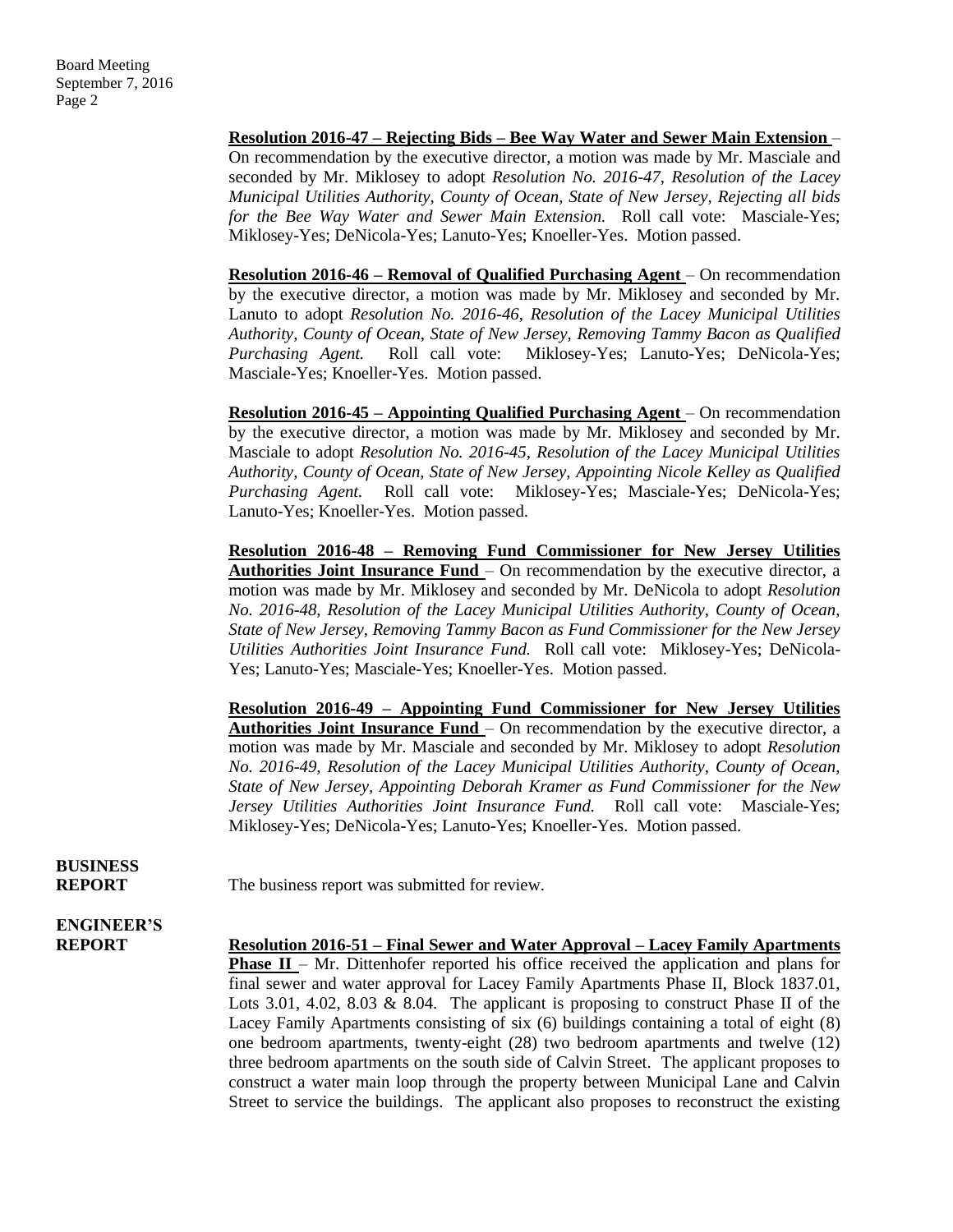**Resolution 2016-47 – Rejecting Bids – Bee Way Water and Sewer Main Extension** – On recommendation by the executive director, a motion was made by Mr. Masciale and seconded by Mr. Miklosey to adopt *Resolution No. 2016-47, Resolution of the Lacey Municipal Utilities Authority, County of Ocean, State of New Jersey, Rejecting all bids for the Bee Way Water and Sewer Main Extension.* Roll call vote: Masciale-Yes; Miklosey-Yes; DeNicola-Yes; Lanuto-Yes; Knoeller-Yes. Motion passed.

**Resolution 2016-46 – Removal of Qualified Purchasing Agent** – On recommendation by the executive director, a motion was made by Mr. Miklosey and seconded by Mr. Lanuto to adopt *Resolution No. 2016-46, Resolution of the Lacey Municipal Utilities Authority, County of Ocean, State of New Jersey, Removing Tammy Bacon as Qualified Purchasing Agent.* Roll call vote: Miklosey-Yes; Lanuto-Yes; DeNicola-Yes; Masciale-Yes; Knoeller-Yes. Motion passed.

**Resolution 2016-45 – Appointing Qualified Purchasing Agent** – On recommendation by the executive director, a motion was made by Mr. Miklosey and seconded by Mr. Masciale to adopt *Resolution No. 2016-45, Resolution of the Lacey Municipal Utilities Authority, County of Ocean, State of New Jersey, Appointing Nicole Kelley as Qualified Purchasing Agent.* Roll call vote: Miklosey-Yes; Masciale-Yes; DeNicola-Yes; Lanuto-Yes; Knoeller-Yes. Motion passed.

**Resolution 2016-48 – Removing Fund Commissioner for New Jersey Utilities Authorities Joint Insurance Fund** – On recommendation by the executive director, a motion was made by Mr. Miklosey and seconded by Mr. DeNicola to adopt *Resolution No. 2016-48, Resolution of the Lacey Municipal Utilities Authority, County of Ocean, State of New Jersey, Removing Tammy Bacon as Fund Commissioner for the New Jersey Utilities Authorities Joint Insurance Fund.* Roll call vote: Miklosey-Yes; DeNicola-Yes; Lanuto-Yes; Masciale-Yes; Knoeller-Yes. Motion passed.

**Resolution 2016-49 – Appointing Fund Commissioner for New Jersey Utilities Authorities Joint Insurance Fund** – On recommendation by the executive director, a motion was made by Mr. Masciale and seconded by Mr. Miklosey to adopt *Resolution No. 2016-49, Resolution of the Lacey Municipal Utilities Authority, County of Ocean, State of New Jersey, Appointing Deborah Kramer as Fund Commissioner for the New Jersey Utilities Authorities Joint Insurance Fund.* Roll call vote: Masciale-Yes; Miklosey-Yes; DeNicola-Yes; Lanuto-Yes; Knoeller-Yes. Motion passed.

**BUSINESS**

**REPORT** The business report was submitted for review.

# **ENGINEER'S**

**REPORT Resolution 2016-51 – Final Sewer and Water Approval – Lacey Family Apartments Phase II** – Mr. Dittenhofer reported his office received the application and plans for final sewer and water approval for Lacey Family Apartments Phase II, Block 1837.01, Lots 3.01, 4.02, 8.03  $\&$  8.04. The applicant is proposing to construct Phase II of the Lacey Family Apartments consisting of six (6) buildings containing a total of eight (8) one bedroom apartments, twenty-eight (28) two bedroom apartments and twelve (12) three bedroom apartments on the south side of Calvin Street. The applicant proposes to construct a water main loop through the property between Municipal Lane and Calvin Street to service the buildings. The applicant also proposes to reconstruct the existing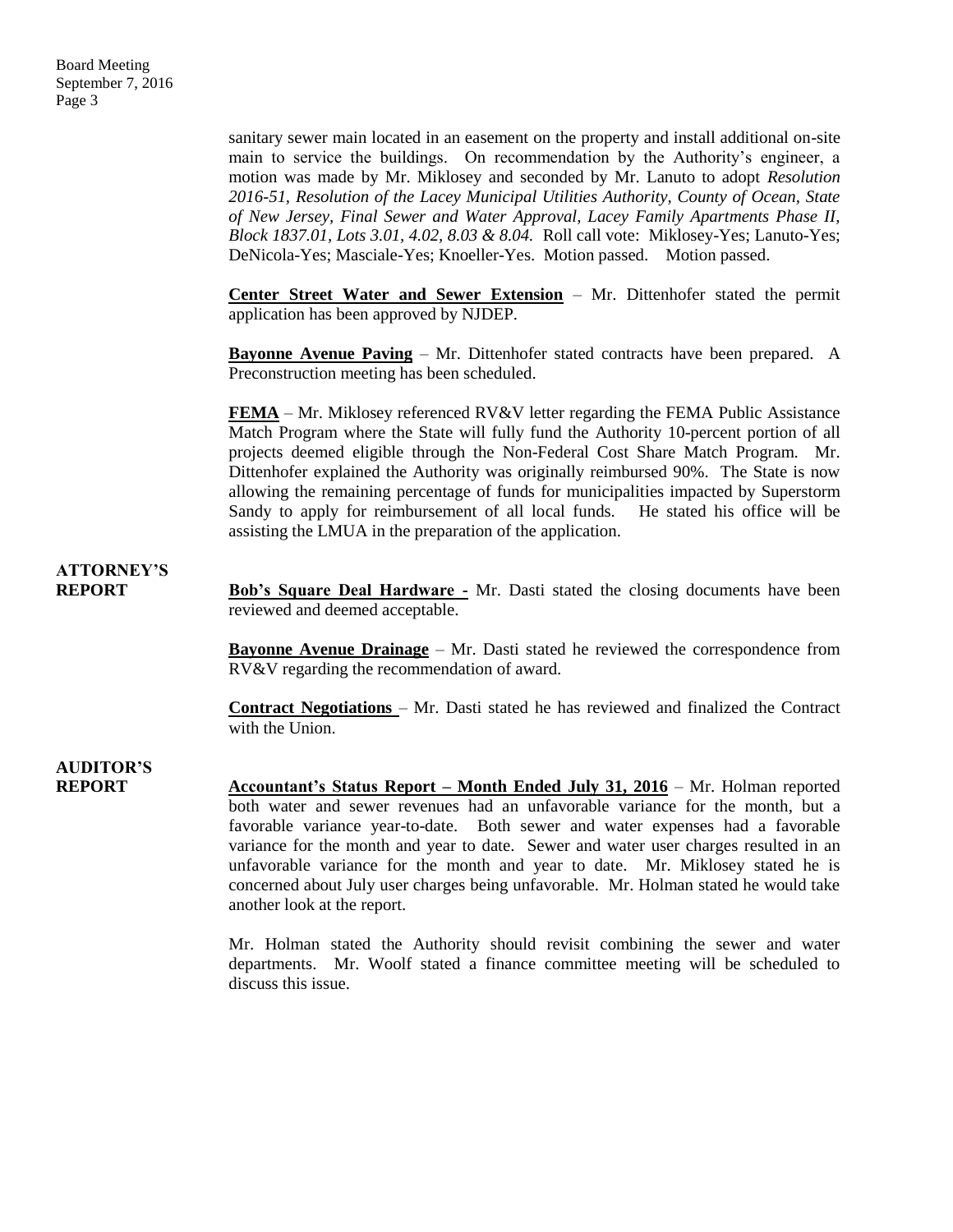sanitary sewer main located in an easement on the property and install additional on-site main to service the buildings. On recommendation by the Authority's engineer, a motion was made by Mr. Miklosey and seconded by Mr. Lanuto to adopt *Resolution 2016-51, Resolution of the Lacey Municipal Utilities Authority, County of Ocean, State of New Jersey, Final Sewer and Water Approval, Lacey Family Apartments Phase II, Block 1837.01, Lots 3.01, 4.02, 8.03 & 8.04.* Roll call vote: Miklosey-Yes; Lanuto-Yes; DeNicola-Yes; Masciale-Yes; Knoeller-Yes. Motion passed. Motion passed.

**Center Street Water and Sewer Extension** – Mr. Dittenhofer stated the permit application has been approved by NJDEP.

**Bayonne Avenue Paving** – Mr. Dittenhofer stated contracts have been prepared. A Preconstruction meeting has been scheduled.

**FEMA** – Mr. Miklosey referenced RV&V letter regarding the FEMA Public Assistance Match Program where the State will fully fund the Authority 10-percent portion of all projects deemed eligible through the Non-Federal Cost Share Match Program. Mr. Dittenhofer explained the Authority was originally reimbursed 90%. The State is now allowing the remaining percentage of funds for municipalities impacted by Superstorm Sandy to apply for reimbursement of all local funds. He stated his office will be assisting the LMUA in the preparation of the application.

### **ATTORNEY'S**

**REPORT Bob's Square Deal Hardware -** Mr. Dasti stated the closing documents have been reviewed and deemed acceptable.

> **Bayonne Avenue Drainage** – Mr. Dasti stated he reviewed the correspondence from RV&V regarding the recommendation of award.

> **Contract Negotiations** – Mr. Dasti stated he has reviewed and finalized the Contract with the Union.

## **AUDITOR'S**

**REPORT Accountant's Status Report – Month Ended July 31, 2016** – Mr. Holman reported both water and sewer revenues had an unfavorable variance for the month, but a favorable variance year-to-date. Both sewer and water expenses had a favorable variance for the month and year to date. Sewer and water user charges resulted in an unfavorable variance for the month and year to date. Mr. Miklosey stated he is concerned about July user charges being unfavorable. Mr. Holman stated he would take another look at the report.

> Mr. Holman stated the Authority should revisit combining the sewer and water departments. Mr. Woolf stated a finance committee meeting will be scheduled to discuss this issue.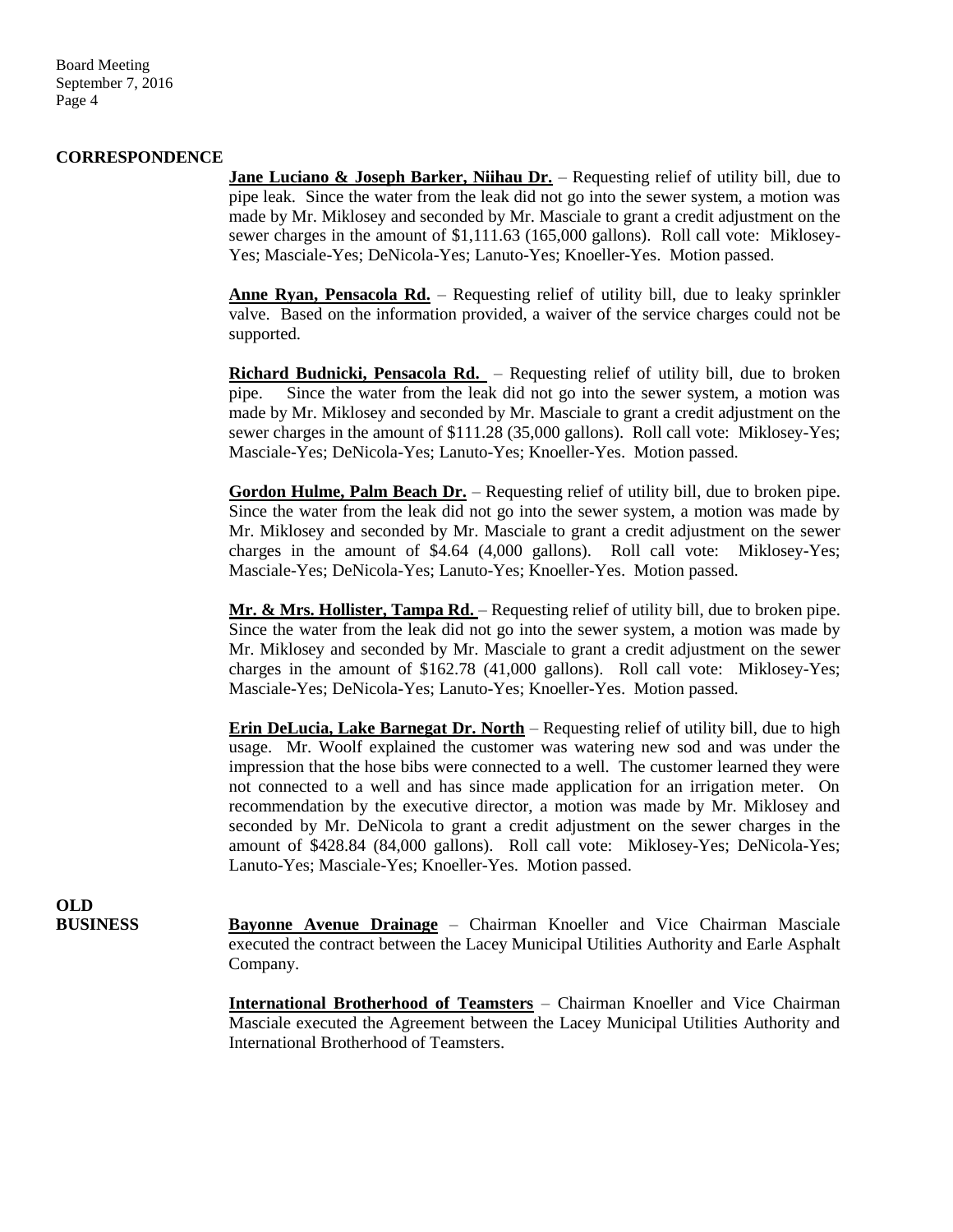Board Meeting September 7, 2016 Page 4

#### **CORRESPONDENCE**

**Jane Luciano & Joseph Barker, Niihau Dr.** – Requesting relief of utility bill, due to pipe leak. Since the water from the leak did not go into the sewer system, a motion was made by Mr. Miklosey and seconded by Mr. Masciale to grant a credit adjustment on the sewer charges in the amount of \$1,111.63 (165,000 gallons). Roll call vote: Miklosey-Yes; Masciale-Yes; DeNicola-Yes; Lanuto-Yes; Knoeller-Yes. Motion passed.

**Anne Ryan, Pensacola Rd.** – Requesting relief of utility bill, due to leaky sprinkler valve. Based on the information provided, a waiver of the service charges could not be supported.

**Richard Budnicki, Pensacola Rd.** – Requesting relief of utility bill, due to broken pipe. Since the water from the leak did not go into the sewer system, a motion was made by Mr. Miklosey and seconded by Mr. Masciale to grant a credit adjustment on the sewer charges in the amount of \$111.28 (35,000 gallons). Roll call vote: Miklosey-Yes; Masciale-Yes; DeNicola-Yes; Lanuto-Yes; Knoeller-Yes. Motion passed.

**Gordon Hulme, Palm Beach Dr.** – Requesting relief of utility bill, due to broken pipe. Since the water from the leak did not go into the sewer system, a motion was made by Mr. Miklosey and seconded by Mr. Masciale to grant a credit adjustment on the sewer charges in the amount of \$4.64 (4,000 gallons). Roll call vote: Miklosey-Yes; Masciale-Yes; DeNicola-Yes; Lanuto-Yes; Knoeller-Yes. Motion passed.

**Mr. & Mrs. Hollister, Tampa Rd.** – Requesting relief of utility bill, due to broken pipe. Since the water from the leak did not go into the sewer system, a motion was made by Mr. Miklosey and seconded by Mr. Masciale to grant a credit adjustment on the sewer charges in the amount of \$162.78 (41,000 gallons). Roll call vote: Miklosey-Yes; Masciale-Yes; DeNicola-Yes; Lanuto-Yes; Knoeller-Yes. Motion passed.

**Erin DeLucia, Lake Barnegat Dr. North** – Requesting relief of utility bill, due to high usage. Mr. Woolf explained the customer was watering new sod and was under the impression that the hose bibs were connected to a well. The customer learned they were not connected to a well and has since made application for an irrigation meter. On recommendation by the executive director, a motion was made by Mr. Miklosey and seconded by Mr. DeNicola to grant a credit adjustment on the sewer charges in the amount of \$428.84 (84,000 gallons). Roll call vote: Miklosey-Yes; DeNicola-Yes; Lanuto-Yes; Masciale-Yes; Knoeller-Yes. Motion passed.

**OLD**

**BUSINESS Bayonne Avenue Drainage** – Chairman Knoeller and Vice Chairman Masciale executed the contract between the Lacey Municipal Utilities Authority and Earle Asphalt Company.

> **International Brotherhood of Teamsters** – Chairman Knoeller and Vice Chairman Masciale executed the Agreement between the Lacey Municipal Utilities Authority and International Brotherhood of Teamsters.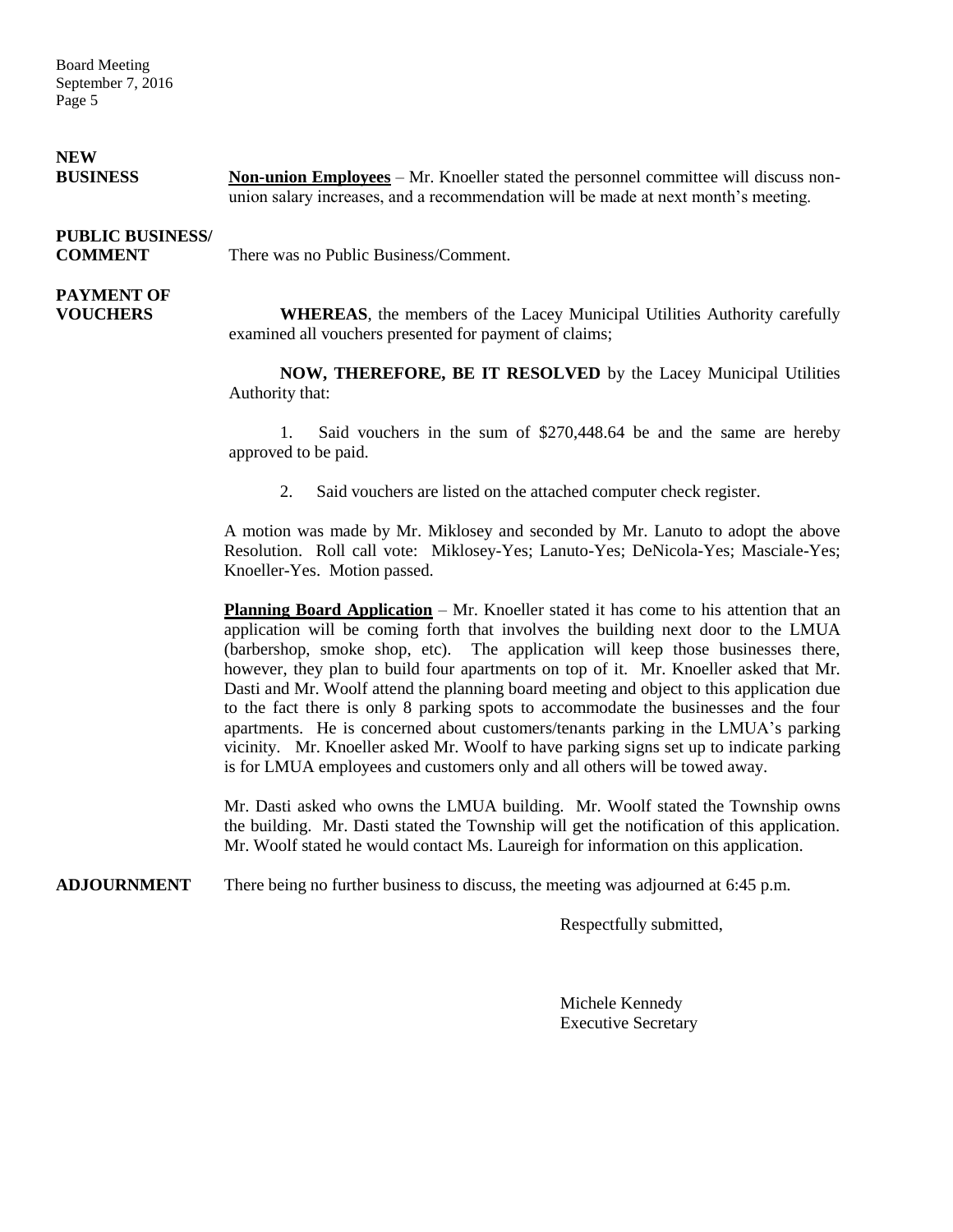Board Meeting September 7, 2016 Page 5

| <b>NEW</b><br><b>BUSINESS</b>             | <b>Non-union Employees</b> – Mr. Knoeller stated the personnel committee will discuss non-<br>union salary increases, and a recommendation will be made at next month's meeting. |
|-------------------------------------------|----------------------------------------------------------------------------------------------------------------------------------------------------------------------------------|
| <b>PUBLIC BUSINESS/</b><br><b>COMMENT</b> | There was no Public Business/Comment.                                                                                                                                            |
| <b>PAYMENT OF</b><br><b>VOUCHERS</b>      | <b>WHEREAS</b> , the members of the Lacey Municipal Utilities Authority carefully<br>examined all vouchers presented for payment of claims;                                      |
|                                           | NOW, THEREFORE, BE IT RESOLVED by the Lacey Municipal Utilities<br>Authority that:                                                                                               |
|                                           | Said vouchers in the sum of \$270,448.64 be and the same are hereby<br>approved to be paid.                                                                                      |

2. Said vouchers are listed on the attached computer check register.

A motion was made by Mr. Miklosey and seconded by Mr. Lanuto to adopt the above Resolution. Roll call vote: Miklosey-Yes; Lanuto-Yes; DeNicola-Yes; Masciale-Yes; Knoeller-Yes. Motion passed.

**Planning Board Application** – Mr. Knoeller stated it has come to his attention that an application will be coming forth that involves the building next door to the LMUA (barbershop, smoke shop, etc). The application will keep those businesses there, however, they plan to build four apartments on top of it. Mr. Knoeller asked that Mr. Dasti and Mr. Woolf attend the planning board meeting and object to this application due to the fact there is only 8 parking spots to accommodate the businesses and the four apartments. He is concerned about customers/tenants parking in the LMUA's parking vicinity. Mr. Knoeller asked Mr. Woolf to have parking signs set up to indicate parking is for LMUA employees and customers only and all others will be towed away.

Mr. Dasti asked who owns the LMUA building. Mr. Woolf stated the Township owns the building. Mr. Dasti stated the Township will get the notification of this application. Mr. Woolf stated he would contact Ms. Laureigh for information on this application.

**ADJOURNMENT** There being no further business to discuss, the meeting was adjourned at 6:45 p.m.

Respectfully submitted,

Michele Kennedy Executive Secretary